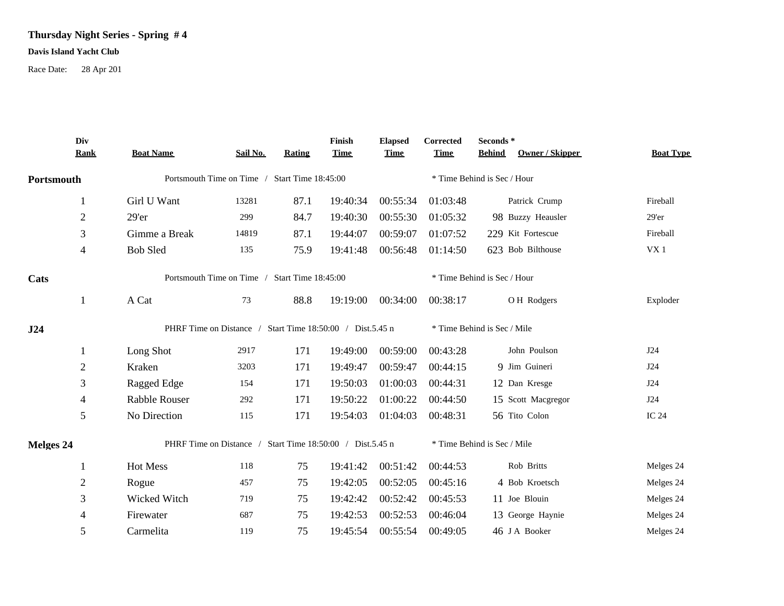## **Thursday Night Series - Spring # 4**

## **Davis Island Yacht Club**

Race Date: 28 Apr 201

|            | Div<br><b>Rank</b> | <b>Boat Name</b>                                          | Sail No. | Rating | Finish<br><b>Time</b> | <b>Elapsed</b><br><b>Time</b> | Corrected<br><b>Time</b> | Seconds *<br>Owner / Skipper<br><b>Behind</b> | <b>Boat Type</b> |  |  |
|------------|--------------------|-----------------------------------------------------------|----------|--------|-----------------------|-------------------------------|--------------------------|-----------------------------------------------|------------------|--|--|
| Portsmouth |                    | Portsmouth Time on Time / Start Time 18:45:00             |          |        |                       |                               |                          | * Time Behind is Sec / Hour                   |                  |  |  |
|            | 1                  | Girl U Want                                               | 13281    | 87.1   | 19:40:34              | 00:55:34                      | 01:03:48                 | Patrick Crump                                 | Fireball         |  |  |
|            | $\overline{2}$     | 29'er                                                     | 299      | 84.7   | 19:40:30              | 00:55:30                      | 01:05:32                 | 98 Buzzy Heausler                             | $29'$ er         |  |  |
|            | 3                  | Gimme a Break                                             | 14819    | 87.1   | 19:44:07              | 00:59:07                      | 01:07:52                 | 229 Kit Fortescue                             | Fireball         |  |  |
|            | $\overline{4}$     | <b>Bob Sled</b>                                           | 135      | 75.9   | 19:41:48              | 00:56:48                      | 01:14:50                 | 623 Bob Bilthouse                             | VX1              |  |  |
| Cats       |                    | Portsmouth Time on Time / Start Time 18:45:00             |          |        |                       |                               |                          | * Time Behind is Sec / Hour                   |                  |  |  |
|            | 1                  | A Cat                                                     | 73       | 88.8   | 19:19:00              | 00:34:00                      | 00:38:17                 | O H Rodgers                                   | Exploder         |  |  |
| J24        |                    | PHRF Time on Distance / Start Time 18:50:00 / Dist.5.45 n |          |        |                       |                               |                          | * Time Behind is Sec / Mile                   |                  |  |  |
|            | 1                  | Long Shot                                                 | 2917     | 171    | 19:49:00              | 00:59:00                      | 00:43:28                 | John Poulson                                  | J24              |  |  |
|            | $\overline{2}$     | Kraken                                                    | 3203     | 171    | 19:49:47              | 00:59:47                      | 00:44:15                 | 9 Jim Guineri                                 | J24              |  |  |
|            | 3                  | Ragged Edge                                               | 154      | 171    | 19:50:03              | 01:00:03                      | 00:44:31                 | 12 Dan Kresge                                 | J24              |  |  |
|            | 4                  | Rabble Rouser                                             | 292      | 171    | 19:50:22              | 01:00:22                      | 00:44:50                 | 15 Scott Macgregor                            | J24              |  |  |
|            | 5                  | No Direction                                              | 115      | 171    | 19:54:03              | 01:04:03                      | 00:48:31                 | 56 Tito Colon                                 | <b>IC 24</b>     |  |  |
| Melges 24  |                    | PHRF Time on Distance / Start Time 18:50:00 / Dist.5.45 n |          |        |                       |                               |                          | * Time Behind is Sec / Mile                   |                  |  |  |
|            | 1                  | Hot Mess                                                  | 118      | 75     | 19:41:42              | 00:51:42                      | 00:44:53                 | Rob Britts                                    | Melges 24        |  |  |
|            | $\sqrt{2}$         | Rogue                                                     | 457      | 75     | 19:42:05              | 00:52:05                      | 00:45:16                 | 4 Bob Kroetsch                                | Melges 24        |  |  |
|            | 3                  | Wicked Witch                                              | 719      | 75     | 19:42:42              | 00:52:42                      | 00:45:53                 | 11 Joe Blouin                                 | Melges 24        |  |  |
|            | 4                  | Firewater                                                 | 687      | 75     | 19:42:53              | 00:52:53                      | 00:46:04                 | 13 George Haynie                              | Melges 24        |  |  |
|            | 5                  | Carmelita                                                 | 119      | 75     | 19:45:54              | 00:55:54                      | 00:49:05                 | 46 J A Booker                                 | Melges 24        |  |  |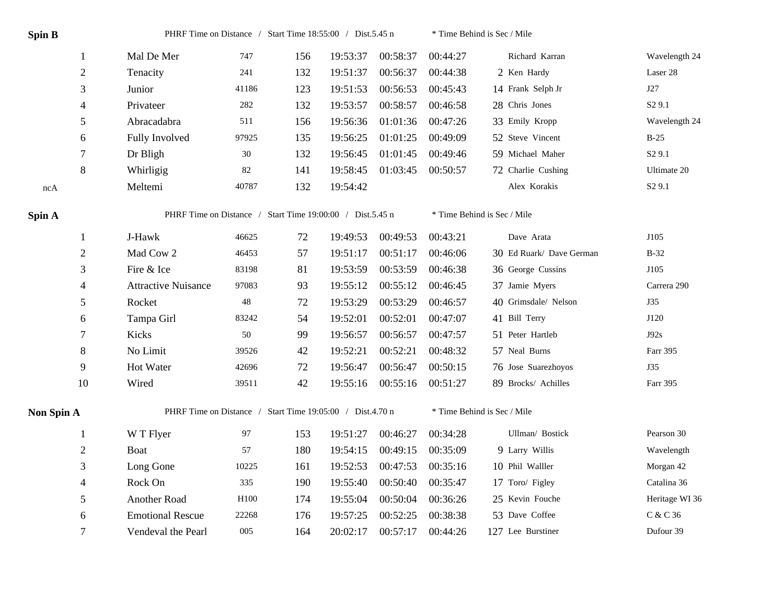| <b>Spin B</b>     |                | PHRF Time on Distance / Start Time 18:55:00 / Dist.5.45 n |        |     |          |          | * Time Behind is Sec / Mile |                             |                    |  |
|-------------------|----------------|-----------------------------------------------------------|--------|-----|----------|----------|-----------------------------|-----------------------------|--------------------|--|
|                   | $\mathbf{1}$   | Mal De Mer                                                | 747    | 156 | 19:53:37 | 00:58:37 | 00:44:27                    | Richard Karran              | Wavelength 24      |  |
|                   | $\overline{2}$ | Tenacity                                                  | 241    | 132 | 19:51:37 | 00:56:37 | 00:44:38                    | 2 Ken Hardy                 | Laser 28           |  |
|                   | 3              | Junior                                                    | 41186  | 123 | 19:51:53 | 00:56:53 | 00:45:43                    | 14 Frank Selph Jr           | J27                |  |
|                   | 4              | Privateer                                                 | 282    | 132 | 19:53:57 | 00:58:57 | 00:46:58                    | 28 Chris Jones              | S <sub>2</sub> 9.1 |  |
|                   | 5              | Abracadabra                                               | 511    | 156 | 19:56:36 | 01:01:36 | 00:47:26                    | 33 Emily Kropp              | Wavelength 24      |  |
|                   | 6              | Fully Involved                                            | 97925  | 135 | 19:56:25 | 01:01:25 | 00:49:09                    | 52 Steve Vincent            | $B-25$             |  |
|                   | 7              | Dr Bligh                                                  | $30\,$ | 132 | 19:56:45 | 01:01:45 | 00:49:46                    | 59 Michael Maher            | S <sub>2</sub> 9.1 |  |
|                   | 8              | Whirligig                                                 | $82\,$ | 141 | 19:58:45 | 01:03:45 | 00:50:57                    | 72 Charlie Cushing          | Ultimate 20        |  |
| ncA               |                | Meltemi                                                   | 40787  | 132 | 19:54:42 |          |                             | Alex Korakis                | S <sub>2</sub> 9.1 |  |
| Spin A            |                | PHRF Time on Distance / Start Time 19:00:00 / Dist.5.45 n |        |     |          |          | * Time Behind is Sec / Mile |                             |                    |  |
|                   | $\mathbf{1}$   | J-Hawk                                                    | 46625  | 72  | 19:49:53 | 00:49:53 | 00:43:21                    | Dave Arata                  | J105               |  |
|                   | $\overline{c}$ | Mad Cow 2                                                 | 46453  | 57  | 19:51:17 | 00:51:17 | 00:46:06                    | 30 Ed Ruark/ Dave German    | $B-32$             |  |
|                   | 3              | Fire & Ice                                                | 83198  | 81  | 19:53:59 | 00:53:59 | 00:46:38                    | 36 George Cussins           | J105               |  |
|                   | 4              | <b>Attractive Nuisance</b>                                | 97083  | 93  | 19:55:12 | 00:55:12 | 00:46:45                    | 37 Jamie Myers              | Carrera 290        |  |
|                   | 5              | Rocket                                                    | 48     | 72  | 19:53:29 | 00:53:29 | 00:46:57                    | 40 Grimsdale/Nelson         | J35                |  |
|                   | 6              | Tampa Girl                                                | 83242  | 54  | 19:52:01 | 00:52:01 | 00:47:07                    | 41 Bill Terry               | J120               |  |
|                   | 7              | Kicks                                                     | 50     | 99  | 19:56:57 | 00:56:57 | 00:47:57                    | 51 Peter Hartleb            | J92s               |  |
|                   | 8              | No Limit                                                  | 39526  | 42  | 19:52:21 | 00:52:21 | 00:48:32                    | 57 Neal Burns               | Farr 395           |  |
|                   | 9              | Hot Water                                                 | 42696  | 72  | 19:56:47 | 00:56:47 | 00:50:15                    | 76 Jose Suarezhoyos         | J35                |  |
|                   | 10             | Wired                                                     | 39511  | 42  | 19:55:16 | 00:55:16 | 00:51:27                    | 89 Brocks/ Achilles         | Farr 395           |  |
| <b>Non Spin A</b> |                | PHRF Time on Distance / Start Time 19:05:00 / Dist.4.70 n |        |     |          |          |                             | * Time Behind is Sec / Mile |                    |  |
|                   | 1              | W T Flyer                                                 | 97     | 153 | 19:51:27 | 00:46:27 | 00:34:28                    | Ullman/ Bostick             | Pearson 30         |  |
|                   | $\overline{c}$ | Boat                                                      | 57     | 180 | 19:54:15 | 00:49:15 | 00:35:09                    | 9 Larry Willis              | Wavelength         |  |
|                   | 3              | Long Gone                                                 | 10225  | 161 | 19:52:53 | 00:47:53 | 00:35:16                    | 10 Phil Walller             | Morgan 42          |  |
|                   | 4              | Rock On                                                   | 335    | 190 | 19:55:40 | 00:50:40 | 00:35:47                    | 17 Toro/ Figley             | Catalina 36        |  |
|                   | 5              | Another Road                                              | H100   | 174 | 19:55:04 | 00:50:04 | 00:36:26                    | 25 Kevin Fouche             | Heritage WI 36     |  |
|                   | 6              | <b>Emotional Rescue</b>                                   | 22268  | 176 | 19:57:25 | 00:52:25 | 00:38:38                    | 53 Dave Coffee              | $C\ \&\ C\ 36$     |  |
|                   | 7              | Vendeval the Pearl                                        | 005    | 164 | 20:02:17 | 00:57:17 | 00:44:26                    | 127 Lee Burstiner           | Dufour 39          |  |